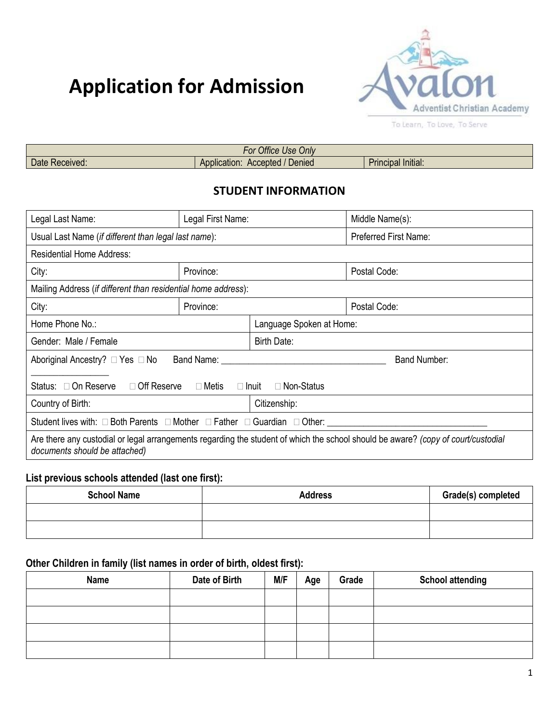# **Application for Admission**



| .<br>Onlv<br>10 <sup>2</sup><br><b>Office</b><br>וט־<br>USE |                                    |                                                         |  |  |
|-------------------------------------------------------------|------------------------------------|---------------------------------------------------------|--|--|
| eceived.<br>Daτe<br>---                                     | Denied<br>Application:<br>Accepted | $\cdots$<br>.<br><b>STATISTICS</b><br>rincipai initiai. |  |  |

### **STUDENT INFORMATION**

| Legal Last Name:                                                                                                                                                   | Legal First Name:                                                                                                                                                                                                              |                          | Middle Name(s):              |  |
|--------------------------------------------------------------------------------------------------------------------------------------------------------------------|--------------------------------------------------------------------------------------------------------------------------------------------------------------------------------------------------------------------------------|--------------------------|------------------------------|--|
| Usual Last Name (if different than legal last name):                                                                                                               |                                                                                                                                                                                                                                |                          | <b>Preferred First Name:</b> |  |
| <b>Residential Home Address:</b>                                                                                                                                   |                                                                                                                                                                                                                                |                          |                              |  |
| City:                                                                                                                                                              | Province:                                                                                                                                                                                                                      |                          | Postal Code:                 |  |
| Mailing Address (if different than residential home address):                                                                                                      |                                                                                                                                                                                                                                |                          |                              |  |
| City:                                                                                                                                                              | Province:                                                                                                                                                                                                                      |                          | Postal Code:                 |  |
| Home Phone No.:                                                                                                                                                    |                                                                                                                                                                                                                                | Language Spoken at Home: |                              |  |
| Gender: Male / Female                                                                                                                                              |                                                                                                                                                                                                                                | Birth Date:              |                              |  |
| Aboriginal Ancestry? □ Yes □ No                                                                                                                                    | Band Name: The Contract of the Contract of the Contract of the Contract of the Contract of the Contract of the Contract of the Contract of the Contract of the Contract of the Contract of the Contract of the Contract of the |                          | <b>Band Number:</b>          |  |
| Status: □ On Reserve<br>□ Off Reserve □ Metis □ Inuit<br>$\Box$ Non-Status                                                                                         |                                                                                                                                                                                                                                |                          |                              |  |
| Country of Birth:                                                                                                                                                  |                                                                                                                                                                                                                                | Citizenship:             |                              |  |
| Student lives with: $\Box$ Both Parents $\Box$ Mother $\Box$ Father $\Box$ Guardian $\Box$ Other:                                                                  |                                                                                                                                                                                                                                |                          |                              |  |
| Are there any custodial or legal arrangements regarding the student of which the school should be aware? (copy of court/custodial<br>documents should be attached) |                                                                                                                                                                                                                                |                          |                              |  |

#### **List previous schools attended (last one first):**

| <b>School Name</b> | <b>Address</b> | Grade(s) completed |
|--------------------|----------------|--------------------|
|                    |                |                    |
|                    |                |                    |

#### **Other Children in family (list names in order of birth, oldest first):**

| <b>Name</b> | Date of Birth | M/F | Age | Grade | <b>School attending</b> |
|-------------|---------------|-----|-----|-------|-------------------------|
|             |               |     |     |       |                         |
|             |               |     |     |       |                         |
|             |               |     |     |       |                         |
|             |               |     |     |       |                         |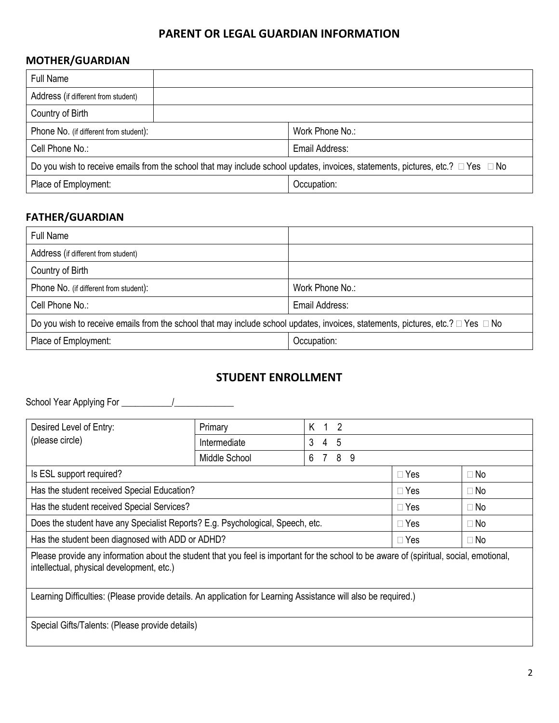## **PARENT OR LEGAL GUARDIAN INFORMATION**

#### **MOTHER/GUARDIAN**

| <b>Full Name</b>                                                                                                                          |             |                 |  |  |
|-------------------------------------------------------------------------------------------------------------------------------------------|-------------|-----------------|--|--|
| Address (if different from student)                                                                                                       |             |                 |  |  |
| Country of Birth                                                                                                                          |             |                 |  |  |
| Phone No. (if different from student):                                                                                                    |             | Work Phone No.: |  |  |
| Cell Phone No.:                                                                                                                           |             | Email Address:  |  |  |
| Do you wish to receive emails from the school that may include school updates, invoices, statements, pictures, etc.? $\Box$ Yes $\Box$ No |             |                 |  |  |
| Place of Employment:                                                                                                                      | Occupation: |                 |  |  |

### **FATHER/GUARDIAN**

| <b>Full Name</b>                                                                                                                          |                 |  |  |
|-------------------------------------------------------------------------------------------------------------------------------------------|-----------------|--|--|
| Address (if different from student)                                                                                                       |                 |  |  |
| Country of Birth                                                                                                                          |                 |  |  |
| Phone No. (if different from student):                                                                                                    | Work Phone No.: |  |  |
| Cell Phone No.:                                                                                                                           | Email Address:  |  |  |
| Do you wish to receive emails from the school that may include school updates, invoices, statements, pictures, etc.? $\Box$ Yes $\Box$ No |                 |  |  |
| Place of Employment:                                                                                                                      | Occupation:     |  |  |

#### **STUDENT ENROLLMENT**

School Year Applying For \_\_\_\_\_\_\_\_\_\_\_/\_\_\_\_\_\_\_\_\_\_\_\_\_

| Desired Level of Entry:                                                                                                                                                               | Primary       | K 1 2                     |         |            |           |
|---------------------------------------------------------------------------------------------------------------------------------------------------------------------------------------|---------------|---------------------------|---------|------------|-----------|
| (please circle)                                                                                                                                                                       | Intermediate  | -5<br>3<br>$\overline{4}$ |         |            |           |
|                                                                                                                                                                                       | Middle School | 6                         | 8<br>-9 |            |           |
| Is ESL support required?                                                                                                                                                              |               |                           |         | $\Box$ Yes | $\Box$ No |
| Has the student received Special Education?<br>$\Box$ Yes<br>$\Box$ No                                                                                                                |               |                           |         |            |           |
| Has the student received Special Services?<br>$\Box$ Yes<br>$\Box$ No                                                                                                                 |               |                           |         |            |           |
| Does the student have any Specialist Reports? E.g. Psychological, Speech, etc.<br>$\Box$ Yes<br>$\Box$ No                                                                             |               |                           |         |            |           |
| Has the student been diagnosed with ADD or ADHD?<br>$\Box$ Yes<br>$\Box$ No                                                                                                           |               |                           |         |            |           |
| Please provide any information about the student that you feel is important for the school to be aware of (spiritual, social, emotional,<br>intellectual, physical development, etc.) |               |                           |         |            |           |
| Learning Difficulties: (Please provide details. An application for Learning Assistance will also be required.)                                                                        |               |                           |         |            |           |

Special Gifts/Talents: (Please provide details)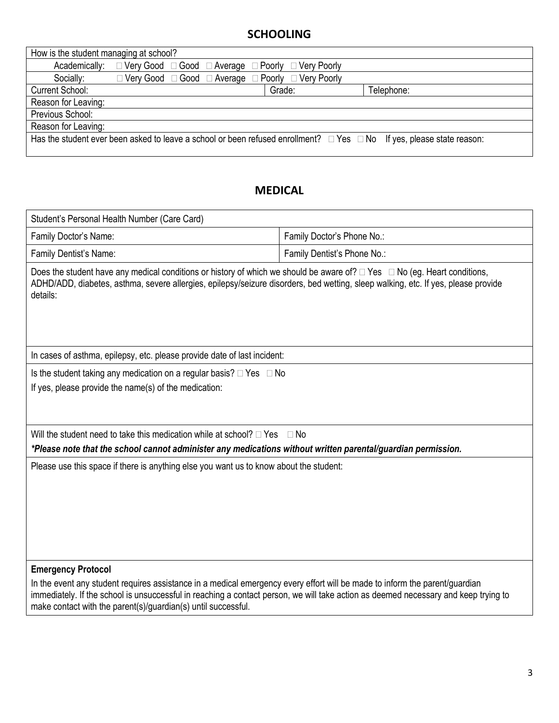## **SCHOOLING**

| How is the student managing at school? |                                                                              |        |                                                                                                                                 |
|----------------------------------------|------------------------------------------------------------------------------|--------|---------------------------------------------------------------------------------------------------------------------------------|
| Academically:                          | $\Box$ Very Good $\Box$ Good $\Box$ Average $\Box$ Poorly $\Box$ Very Poorly |        |                                                                                                                                 |
| Socially:                              | $\Box$ Very Good $\Box$ Good $\Box$ Average $\Box$ Poorly $\Box$ Very Poorly |        |                                                                                                                                 |
| Current School:                        |                                                                              | Grade: | Telephone:                                                                                                                      |
| Reason for Leaving:                    |                                                                              |        |                                                                                                                                 |
| Previous School:                       |                                                                              |        |                                                                                                                                 |
| Reason for Leaving:                    |                                                                              |        |                                                                                                                                 |
|                                        |                                                                              |        | Has the student ever been asked to leave a school or been refused enrollment? $\Box$ Yes $\Box$ No If yes, please state reason: |
|                                        |                                                                              |        |                                                                                                                                 |

## **MEDICAL**

| Family Doctor's Phone No.:                                                                                                                                                                                                                                                                                     |  |  |  |  |  |
|----------------------------------------------------------------------------------------------------------------------------------------------------------------------------------------------------------------------------------------------------------------------------------------------------------------|--|--|--|--|--|
| Family Dentist's Phone No.:                                                                                                                                                                                                                                                                                    |  |  |  |  |  |
| Family Dentist's Name:<br>Does the student have any medical conditions or history of which we should be aware of? $\Box$ Yes $\Box$ No (eg. Heart conditions,<br>ADHD/ADD, diabetes, asthma, severe allergies, epilepsy/seizure disorders, bed wetting, sleep walking, etc. If yes, please provide<br>details: |  |  |  |  |  |
| In cases of asthma, epilepsy, etc. please provide date of last incident:                                                                                                                                                                                                                                       |  |  |  |  |  |
| Is the student taking any medication on a regular basis? $\Box$ Yes $\Box$ No<br>If yes, please provide the name(s) of the medication:                                                                                                                                                                         |  |  |  |  |  |
| Will the student need to take this medication while at school? $\Box$ Yes<br>$\Box$ No<br>*Please note that the school cannot administer any medications without written parental/guardian permission.                                                                                                         |  |  |  |  |  |
| Please use this space if there is anything else you want us to know about the student:                                                                                                                                                                                                                         |  |  |  |  |  |
|                                                                                                                                                                                                                                                                                                                |  |  |  |  |  |
| In the event any student requires assistance in a medical emergency every effort will be made to inform the parent/guardian<br>immediately. If the school is unsuccessful in reaching a contact person, we will take action as deemed necessary and keep trying to                                             |  |  |  |  |  |
|                                                                                                                                                                                                                                                                                                                |  |  |  |  |  |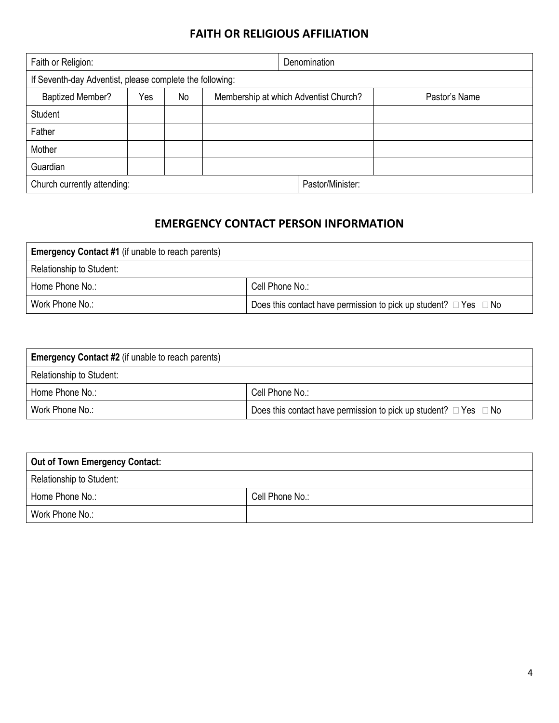## **FAITH OR RELIGIOUS AFFILIATION**

| Faith or Religion:                                       |     |    | Denomination                          |  |                  |               |
|----------------------------------------------------------|-----|----|---------------------------------------|--|------------------|---------------|
| If Seventh-day Adventist, please complete the following: |     |    |                                       |  |                  |               |
| <b>Baptized Member?</b>                                  | Yes | No | Membership at which Adventist Church? |  |                  | Pastor's Name |
| Student                                                  |     |    |                                       |  |                  |               |
| Father                                                   |     |    |                                       |  |                  |               |
| Mother                                                   |     |    |                                       |  |                  |               |
| Guardian                                                 |     |    |                                       |  |                  |               |
| Church currently attending:                              |     |    |                                       |  | Pastor/Minister: |               |

## **EMERGENCY CONTACT PERSON INFORMATION**

| <b>Emergency Contact #1</b> (if unable to reach parents) |                                                                            |
|----------------------------------------------------------|----------------------------------------------------------------------------|
| Relationship to Student:                                 |                                                                            |
| Home Phone No.:                                          | Cell Phone No.:                                                            |
| Work Phone No.:                                          | Does this contact have permission to pick up student? $\Box$ Yes $\Box$ No |

| <b>Emergency Contact #2</b> (if unable to reach parents) |                                                                            |  |  |  |
|----------------------------------------------------------|----------------------------------------------------------------------------|--|--|--|
| Relationship to Student:                                 |                                                                            |  |  |  |
| Home Phone No.:                                          | Cell Phone No.:                                                            |  |  |  |
| Work Phone No.:                                          | Does this contact have permission to pick up student? $\Box$ Yes $\Box$ No |  |  |  |

| <b>Out of Town Emergency Contact:</b> |                 |
|---------------------------------------|-----------------|
| Relationship to Student:              |                 |
| Home Phone No.:                       | Cell Phone No.: |
| Work Phone No.:                       |                 |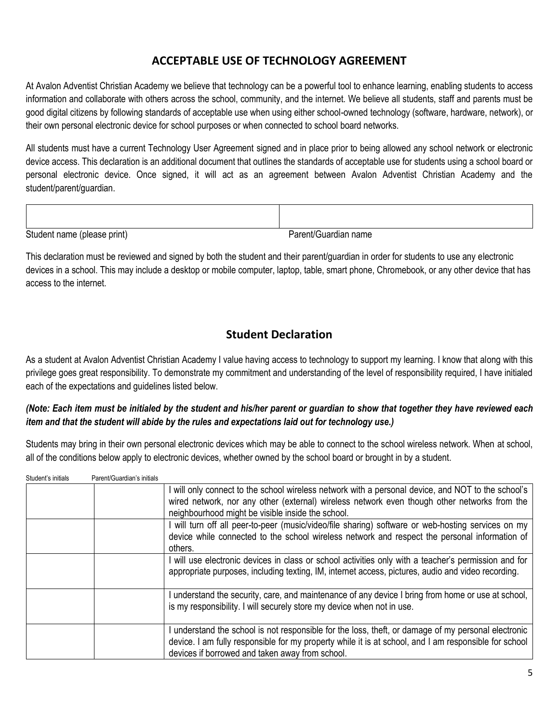## **ACCEPTABLE USE OF TECHNOLOGY AGREEMENT**

At Avalon Adventist Christian Academy we believe that technology can be a powerful tool to enhance learning, enabling students to access information and collaborate with others across the school, community, and the internet. We believe all students, staff and parents must be good digital citizens by following standards of acceptable use when using either school-owned technology (software, hardware, network), or their own personal electronic device for school purposes or when connected to school board networks.

All students must have a current Technology User Agreement signed and in place prior to being allowed any school network or electronic device access. This declaration is an additional document that outlines the standards of acceptable use for students using a school board or personal electronic device. Once signed, it will act as an agreement between Avalon Adventist Christian Academy and the student/parent/guardian.

Student name (please print) et al. et al. et al. et al. et al. et al. et al. et al. et al. et al. et al. et al. et al. et al. et al. et al. et al. et al. et al. et al. et al. et al. et al. et al. et al. et al. et al. et al

This declaration must be reviewed and signed by both the student and their parent/guardian in order for students to use any electronic devices in a school. This may include a desktop or mobile computer, laptop, table, smart phone, Chromebook, or any other device that has access to the internet.

## **Student Declaration**

As a student at Avalon Adventist Christian Academy I value having access to technology to support my learning. I know that along with this privilege goes great responsibility. To demonstrate my commitment and understanding of the level of responsibility required, I have initialed each of the expectations and guidelines listed below.

#### *(Note: Each item must be initialed by the student and his/her parent or guardian to show that together they have reviewed each item and that the student will abide by the rules and expectations laid out for technology use.)*

Students may bring in their own personal electronic devices which may be able to connect to the school wireless network. When at school, all of the conditions below apply to electronic devices, whether owned by the school board or brought in by a student.

| Student's initials | Parent/Guardian's initials |                                                                                                                                                                                                                                                               |
|--------------------|----------------------------|---------------------------------------------------------------------------------------------------------------------------------------------------------------------------------------------------------------------------------------------------------------|
|                    |                            | will only connect to the school wireless network with a personal device, and NOT to the school's<br>wired network, nor any other (external) wireless network even though other networks from the<br>neighbourhood might be visible inside the school.         |
|                    |                            | will turn off all peer-to-peer (music/video/file sharing) software or web-hosting services on my<br>device while connected to the school wireless network and respect the personal information of<br>others.                                                  |
|                    |                            | I will use electronic devices in class or school activities only with a teacher's permission and for<br>appropriate purposes, including texting, IM, internet access, pictures, audio and video recording.                                                    |
|                    |                            | understand the security, care, and maintenance of any device I bring from home or use at school,<br>is my responsibility. I will securely store my device when not in use.                                                                                    |
|                    |                            | understand the school is not responsible for the loss, theft, or damage of my personal electronic<br>device. I am fully responsible for my property while it is at school, and I am responsible for school<br>devices if borrowed and taken away from school. |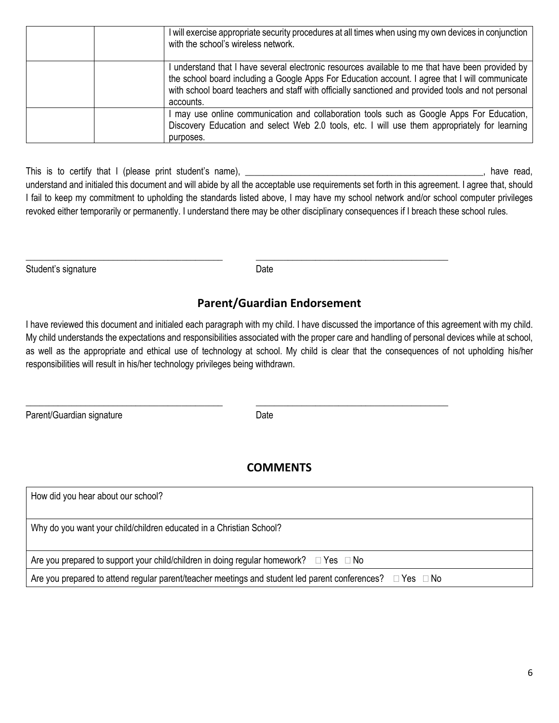| I will exercise appropriate security procedures at all times when using my own devices in conjunction<br>with the school's wireless network.                                                                                                                                                                          |
|-----------------------------------------------------------------------------------------------------------------------------------------------------------------------------------------------------------------------------------------------------------------------------------------------------------------------|
| understand that I have several electronic resources available to me that have been provided by<br>the school board including a Google Apps For Education account. I agree that I will communicate<br>with school board teachers and staff with officially sanctioned and provided tools and not personal<br>accounts. |
| I may use online communication and collaboration tools such as Google Apps For Education,<br>Discovery Education and select Web 2.0 tools, etc. I will use them appropriately for learning<br>purposes.                                                                                                               |

This is to certify that I (please print student's name), \_\_\_\_\_\_\_\_\_\_\_\_\_\_\_\_\_\_\_\_\_\_\_\_\_\_\_\_\_\_\_\_\_\_\_\_\_\_\_\_\_\_\_\_\_\_\_\_\_\_\_\_, have read, understand and initialed this document and will abide by all the acceptable use requirements set forth in this agreement. I agree that, should I fail to keep my commitment to upholding the standards listed above, I may have my school network and/or school computer privileges revoked either temporarily or permanently. I understand there may be other disciplinary consequences if I breach these school rules.

| Student's signature | Date |
|---------------------|------|
|---------------------|------|

\_\_\_\_\_\_\_\_\_\_\_\_\_\_\_\_\_\_\_\_\_\_\_\_\_\_\_\_\_\_\_\_\_\_\_\_\_\_\_\_\_\_\_ \_\_\_\_\_\_\_\_\_\_\_\_\_\_\_\_\_\_\_\_\_\_\_\_\_\_\_\_\_\_\_\_\_\_\_\_\_\_\_\_\_\_

\_\_\_\_\_\_\_\_\_\_\_\_\_\_\_\_\_\_\_\_\_\_\_\_\_\_\_\_\_\_\_\_\_\_\_\_\_\_\_\_\_\_\_ \_\_\_\_\_\_\_\_\_\_\_\_\_\_\_\_\_\_\_\_\_\_\_\_\_\_\_\_\_\_\_\_\_\_\_\_\_\_\_\_\_\_

## **Parent/Guardian Endorsement**

I have reviewed this document and initialed each paragraph with my child. I have discussed the importance of this agreement with my child. My child understands the expectations and responsibilities associated with the proper care and handling of personal devices while at school, as well as the appropriate and ethical use of technology at school. My child is clear that the consequences of not upholding his/her responsibilities will result in his/her technology privileges being withdrawn.

Parent/Guardian signature Date Date

## **COMMENTS**

| How did you hear about our school?                                                                                        |
|---------------------------------------------------------------------------------------------------------------------------|
| Why do you want your child/children educated in a Christian School?                                                       |
| Are you prepared to support your child/children in doing regular homework? $\Box$ Yes $\Box$ No                           |
| Are you prepared to attend regular parent/teacher meetings and student led parent conferences? $\square$ Yes $\square$ No |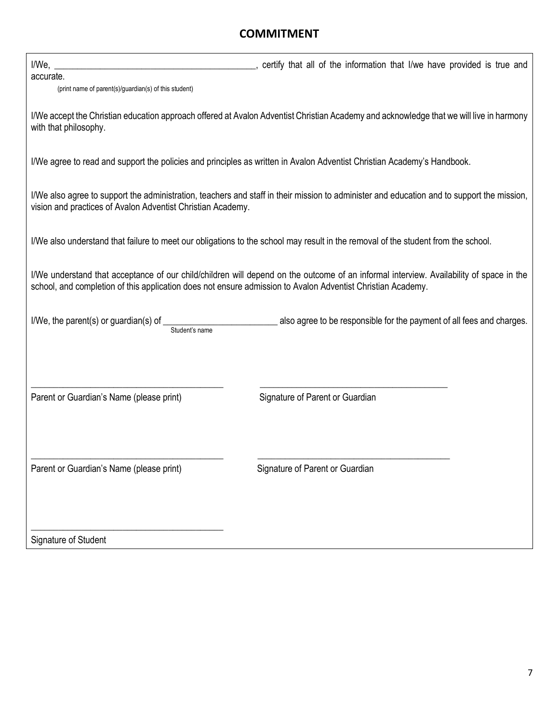## **COMMITMENT**

| I/We,                                                       | _, certify that all of the information that I/we have provided is true and                                                                                                                                                                             |
|-------------------------------------------------------------|--------------------------------------------------------------------------------------------------------------------------------------------------------------------------------------------------------------------------------------------------------|
| accurate.                                                   |                                                                                                                                                                                                                                                        |
| (print name of parent(s)/guardian(s) of this student)       |                                                                                                                                                                                                                                                        |
| with that philosophy.                                       | I/We accept the Christian education approach offered at Avalon Adventist Christian Academy and acknowledge that we will live in harmony                                                                                                                |
|                                                             | I/We agree to read and support the policies and principles as written in Avalon Adventist Christian Academy's Handbook.                                                                                                                                |
| vision and practices of Avalon Adventist Christian Academy. | I/We also agree to support the administration, teachers and staff in their mission to administer and education and to support the mission,                                                                                                             |
|                                                             | I/We also understand that failure to meet our obligations to the school may result in the removal of the student from the school.                                                                                                                      |
|                                                             | I/We understand that acceptance of our child/children will depend on the outcome of an informal interview. Availability of space in the<br>school, and completion of this application does not ensure admission to Avalon Adventist Christian Academy. |
| I/We, the parent(s) or guardian(s) of<br>Student's name     | also agree to be responsible for the payment of all fees and charges.                                                                                                                                                                                  |
| Parent or Guardian's Name (please print)                    | Signature of Parent or Guardian                                                                                                                                                                                                                        |
|                                                             |                                                                                                                                                                                                                                                        |
| Parent or Guardian's Name (please print)                    | Signature of Parent or Guardian                                                                                                                                                                                                                        |
| Signature of Student                                        |                                                                                                                                                                                                                                                        |

7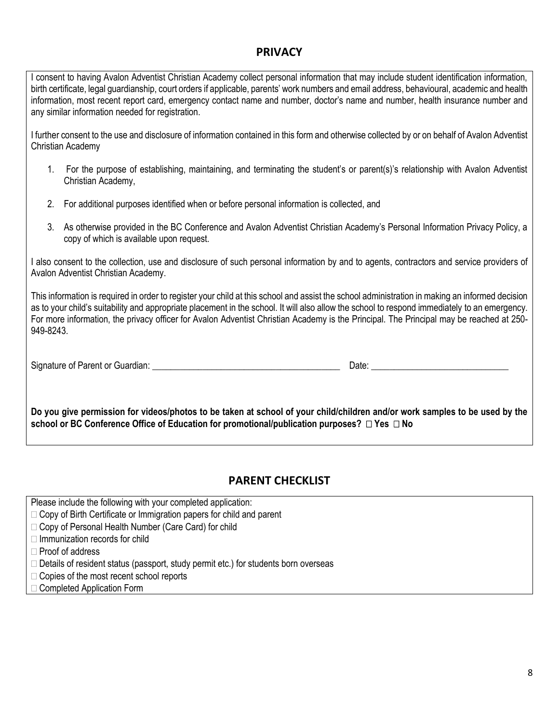#### **PRIVACY**

I consent to having Avalon Adventist Christian Academy collect personal information that may include student identification information, birth certificate, legal guardianship, court orders if applicable, parents' work numbers and email address, behavioural, academic and health information, most recent report card, emergency contact name and number, doctor's name and number, health insurance number and any similar information needed for registration.

I further consent to the use and disclosure of information contained in this form and otherwise collected by or on behalf of Avalon Adventist Christian Academy

- 1. For the purpose of establishing, maintaining, and terminating the student's or parent(s)'s relationship with Avalon Adventist Christian Academy,
- 2. For additional purposes identified when or before personal information is collected, and
- 3. As otherwise provided in the BC Conference and Avalon Adventist Christian Academy's Personal Information Privacy Policy, a copy of which is available upon request.

I also consent to the collection, use and disclosure of such personal information by and to agents, contractors and service providers of Avalon Adventist Christian Academy.

This information is required in order to register your child at this school and assist the school administration in making an informed decision as to your child's suitability and appropriate placement in the school. It will also allow the school to respond immediately to an emergency. For more information, the privacy officer for Avalon Adventist Christian Academy is the Principal. The Principal may be reached at 250- 949-8243.

Signature of Parent or Guardian: \_\_\_\_\_\_\_\_\_\_\_\_\_\_\_\_\_\_\_\_\_\_\_\_\_\_\_\_\_\_\_\_\_\_\_\_\_\_\_\_\_ Date: \_\_\_\_\_\_\_\_\_\_\_\_\_\_\_\_\_\_\_\_\_\_\_\_\_\_\_\_\_\_

**Do you give permission for videos/photos to be taken at school of your child/children and/or work samples to be used by the school or BC Conference Office of Education for promotional/publication purposes? Yes No**

#### **PARENT CHECKLIST**

Please include the following with your completed application:

- $\Box$  Copy of Birth Certificate or Immigration papers for child and parent
- □ Copy of Personal Health Number (Care Card) for child
- $\Box$  Immunization records for child

 $\Box$  Proof of address

- $\Box$  Details of resident status (passport, study permit etc.) for students born overseas
- □ Copies of the most recent school reports
- □ Completed Application Form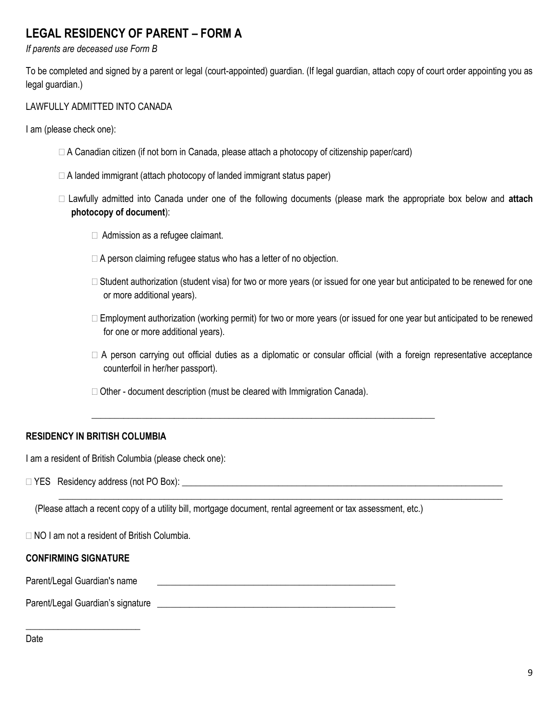## **LEGAL RESIDENCY OF PARENT – FORM A**

*If parents are deceased use Form B* 

To be completed and signed by a parent or legal (court-appointed) guardian. (If legal guardian, attach copy of court order appointing you as legal guardian.)

#### LAWFULLY ADMITTED INTO CANADA

I am (please check one):

- $\Box$  A Canadian citizen (if not born in Canada, please attach a photocopy of citizenship paper/card)
- $\Box$  A landed immigrant (attach photocopy of landed immigrant status paper)
- Lawfully admitted into Canada under one of the following documents (please mark the appropriate box below and **attach photocopy of document**):
	- □ Admission as a refugee claimant.
	- $\Box$  A person claiming refugee status who has a letter of no objection.
	- $\Box$  Student authorization (student visa) for two or more years (or issued for one year but anticipated to be renewed for one or more additional years).
	- $\Box$  Employment authorization (working permit) for two or more years (or issued for one year but anticipated to be renewed for one or more additional years).
	- $\Box$  A person carrying out official duties as a diplomatic or consular official (with a foreign representative acceptance counterfoil in her/her passport).
	- $\Box$  Other document description (must be cleared with Immigration Canada).

\_\_\_\_\_\_\_\_\_\_\_\_\_\_\_\_\_\_\_\_\_\_\_\_\_\_\_\_\_\_\_\_\_\_\_\_\_\_\_\_\_\_\_\_\_\_\_\_\_\_\_\_\_\_\_\_\_\_\_\_\_\_\_\_\_\_\_\_\_\_\_\_\_\_\_

\_\_\_\_\_\_\_\_\_\_\_\_\_\_\_\_\_\_\_\_\_\_\_\_\_\_\_\_\_\_\_\_\_\_\_\_\_\_\_\_\_\_\_\_\_\_\_\_\_\_\_\_\_\_\_\_\_\_\_\_\_\_\_\_\_\_\_\_\_\_\_\_\_\_\_\_\_\_\_\_\_\_\_\_\_\_\_\_\_\_\_\_\_\_\_\_\_

#### **RESIDENCY IN BRITISH COLUMBIA**

I am a resident of British Columbia (please check one):

YES Residency address (not PO Box): \_\_\_\_\_\_\_\_\_\_\_\_\_\_\_\_\_\_\_\_\_\_\_\_\_\_\_\_\_\_\_\_\_\_\_\_\_\_\_\_\_\_\_\_\_\_\_\_\_\_\_\_\_\_\_\_\_\_\_\_\_\_\_\_\_\_\_\_\_\_

(Please attach a recent copy of a utility bill, mortgage document, rental agreement or tax assessment, etc.)

NO I am not a resident of British Columbia.

#### **CONFIRMING SIGNATURE**

Parent/Legal Guardian's name \_\_\_\_\_\_\_\_\_\_\_\_\_\_\_\_\_\_\_\_\_\_\_\_\_\_\_\_\_\_\_\_\_\_\_\_\_\_\_\_\_\_\_\_\_\_\_\_\_\_\_\_

\_\_\_\_\_\_\_\_\_\_\_\_\_\_\_\_\_\_\_\_\_\_\_\_\_

Parent/Legal Guardian's signature **Example 2018** 

Date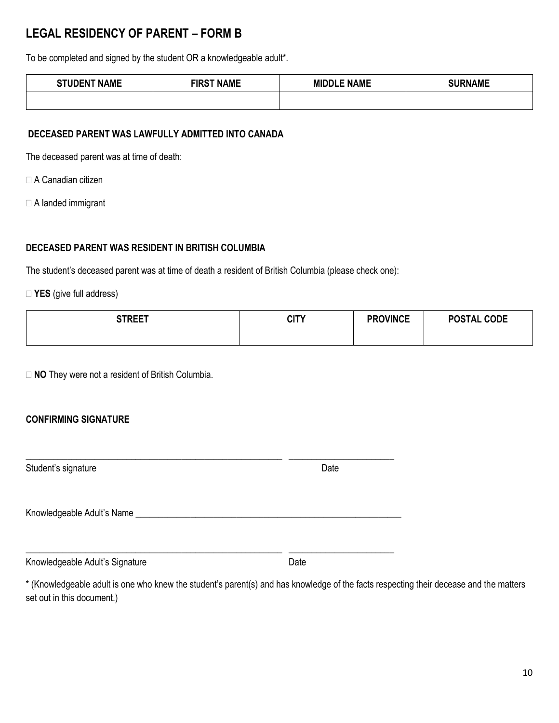## **LEGAL RESIDENCY OF PARENT – FORM B**

To be completed and signed by the student OR a knowledgeable adult\*.

| <b>STUDENT NAME</b> | <b>FIRST NAME</b> | <b>MIDDLE NAME</b> | <b>SURNAME</b> |
|---------------------|-------------------|--------------------|----------------|
|                     |                   |                    |                |

#### **DECEASED PARENT WAS LAWFULLY ADMITTED INTO CANADA**

The deceased parent was at time of death:

- A Canadian citizen
- A landed immigrant

#### **DECEASED PARENT WAS RESIDENT IN BRITISH COLUMBIA**

The student's deceased parent was at time of death a resident of British Columbia (please check one):

**YES** (give full address)

| <b>CTDEET</b> | CITY | <b>PROVINCE</b> | <b>POSTAL CODE</b> |
|---------------|------|-----------------|--------------------|
|               |      |                 |                    |

□ **NO** They were not a resident of British Columbia.

#### **CONFIRMING SIGNATURE**

| Student's signature             | Date |  |
|---------------------------------|------|--|
| Knowledgeable Adult's Name      |      |  |
| Knowledgeable Adult's Signature | Date |  |

\* (Knowledgeable adult is one who knew the student's parent(s) and has knowledge of the facts respecting their decease and the matters set out in this document.)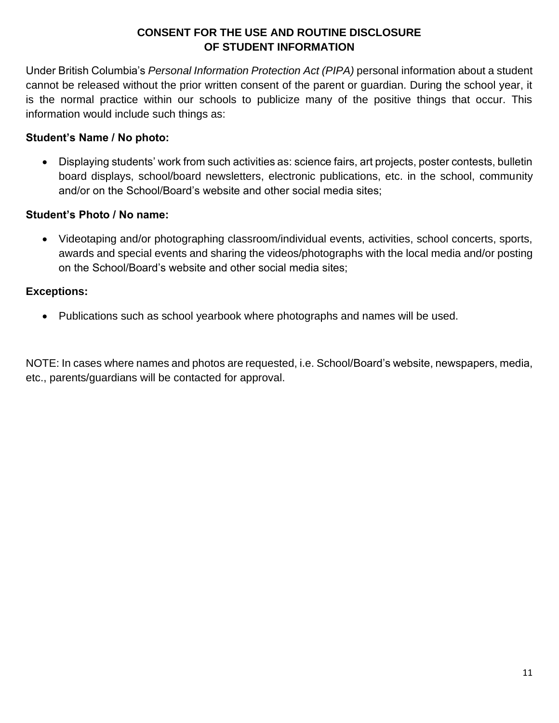### **CONSENT FOR THE USE AND ROUTINE DISCLOSURE OF STUDENT INFORMATION**

Under British Columbia's *Personal Information Protection Act (PIPA)* personal information about a student cannot be released without the prior written consent of the parent or guardian. During the school year, it is the normal practice within our schools to publicize many of the positive things that occur. This information would include such things as:

### **Student's Name / No photo:**

• Displaying students' work from such activities as: science fairs, art projects, poster contests, bulletin board displays, school/board newsletters, electronic publications, etc. in the school, community and/or on the School/Board's website and other social media sites;

#### **Student's Photo / No name:**

• Videotaping and/or photographing classroom/individual events, activities, school concerts, sports, awards and special events and sharing the videos/photographs with the local media and/or posting on the School/Board's website and other social media sites;

#### **Exceptions:**

• Publications such as school yearbook where photographs and names will be used.

NOTE: In cases where names and photos are requested, i.e. School/Board's website, newspapers, media, etc., parents/guardians will be contacted for approval.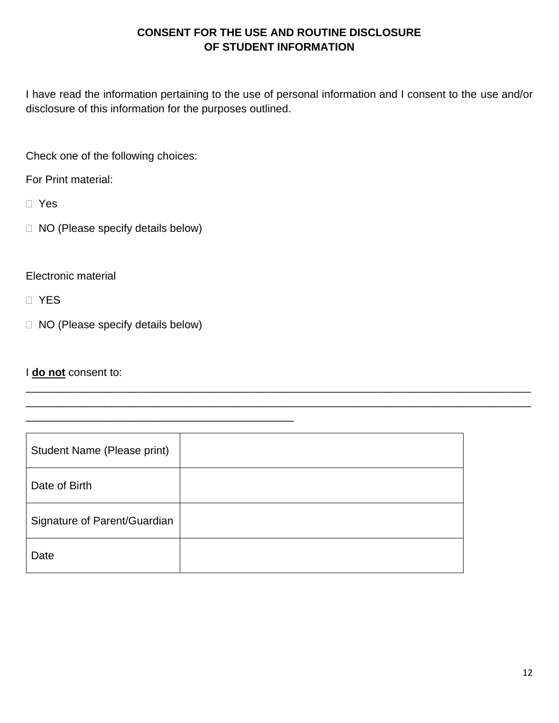## **CONSENT FOR THE USE AND ROUTINE DISCLOSURE OF STUDENT INFORMATION**

I have read the information pertaining to the use of personal information and I consent to the use and/or disclosure of this information for the purposes outlined.

Check one of the following choices:

For Print material:

Yes

NO (Please specify details below)

Electronic material

D YES

NO (Please specify details below)

\_\_\_\_\_\_\_\_\_\_\_\_\_\_\_\_\_\_\_\_\_\_\_\_\_\_\_\_\_\_\_\_\_\_\_\_\_\_\_\_\_\_\_\_

I **do not** consent to:

| Student Name (Please print)  |  |
|------------------------------|--|
| Date of Birth                |  |
| Signature of Parent/Guardian |  |
| Date                         |  |

\_\_\_\_\_\_\_\_\_\_\_\_\_\_\_\_\_\_\_\_\_\_\_\_\_\_\_\_\_\_\_\_\_\_\_\_\_\_\_\_\_\_\_\_\_\_\_\_\_\_\_\_\_\_\_\_\_\_\_\_\_\_\_\_\_\_\_\_\_\_\_\_\_\_\_\_\_\_\_\_\_\_\_ \_\_\_\_\_\_\_\_\_\_\_\_\_\_\_\_\_\_\_\_\_\_\_\_\_\_\_\_\_\_\_\_\_\_\_\_\_\_\_\_\_\_\_\_\_\_\_\_\_\_\_\_\_\_\_\_\_\_\_\_\_\_\_\_\_\_\_\_\_\_\_\_\_\_\_\_\_\_\_\_\_\_\_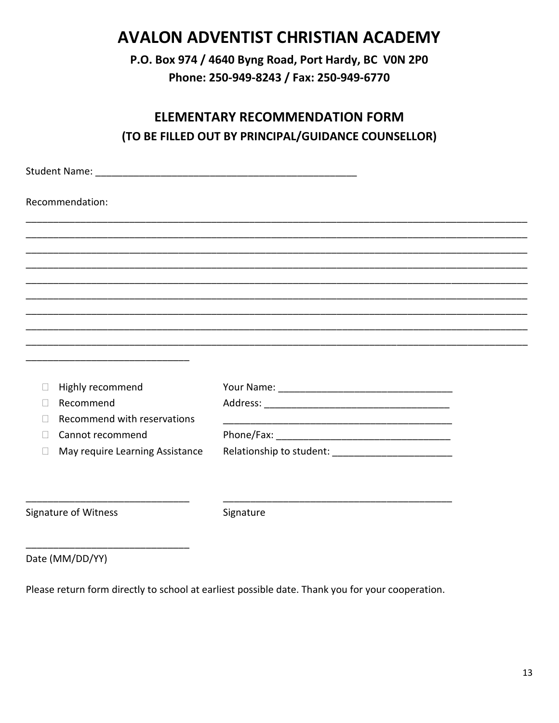## **AVALON ADVENTIST CHRISTIAN ACADEMY**

P.O. Box 974 / 4640 Byng Road, Port Hardy, BC VON 2P0 Phone: 250-949-8243 / Fax: 250-949-6770

## **ELEMENTARY RECOMMENDATION FORM** (TO BE FILLED OUT BY PRINCIPAL/GUIDANCE COUNSELLOR)

| Recommendation:                                 |                                                                                                                      |  |
|-------------------------------------------------|----------------------------------------------------------------------------------------------------------------------|--|
|                                                 |                                                                                                                      |  |
|                                                 |                                                                                                                      |  |
|                                                 |                                                                                                                      |  |
|                                                 |                                                                                                                      |  |
|                                                 |                                                                                                                      |  |
|                                                 |                                                                                                                      |  |
|                                                 |                                                                                                                      |  |
|                                                 |                                                                                                                      |  |
|                                                 |                                                                                                                      |  |
| Highly recommend<br>$\Box$                      |                                                                                                                      |  |
| Recommend<br>$\vert \ \ \vert$                  |                                                                                                                      |  |
| Recommend with reservations<br>Ш                | <u> 1980 - Johann Barbara, martxa alemaniar argumento de la contrada de la contrada de la contrada de la contrad</u> |  |
| Cannot recommend                                |                                                                                                                      |  |
| May require Learning Assistance<br>$\mathbf{L}$ |                                                                                                                      |  |
|                                                 |                                                                                                                      |  |
|                                                 |                                                                                                                      |  |
| Signature of Witness                            | Signature                                                                                                            |  |
|                                                 |                                                                                                                      |  |

Date (MM/DD/YY)

Please return form directly to school at earliest possible date. Thank you for your cooperation.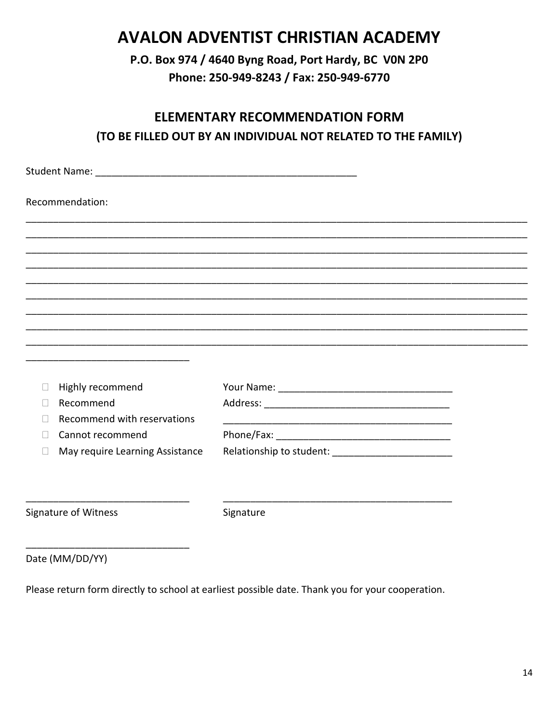## **AVALON ADVENTIST CHRISTIAN ACADEMY**

P.O. Box 974 / 4640 Byng Road, Port Hardy, BC VON 2P0 Phone: 250-949-8243 / Fax: 250-949-6770

## **ELEMENTARY RECOMMENDATION FORM** (TO BE FILLED OUT BY AN INDIVIDUAL NOT RELATED TO THE FAMILY)

| Recommendation:                 |           |  |
|---------------------------------|-----------|--|
|                                 |           |  |
|                                 |           |  |
|                                 |           |  |
|                                 |           |  |
|                                 |           |  |
|                                 |           |  |
|                                 |           |  |
|                                 |           |  |
|                                 |           |  |
| Highly recommend                |           |  |
| Recommend                       |           |  |
| Recommend with reservations     |           |  |
| Cannot recommend                |           |  |
| May require Learning Assistance |           |  |
|                                 |           |  |
|                                 |           |  |
| Signature of Witness            | Signature |  |
|                                 |           |  |

Date (MM/DD/YY)

Please return form directly to school at earliest possible date. Thank you for your cooperation.